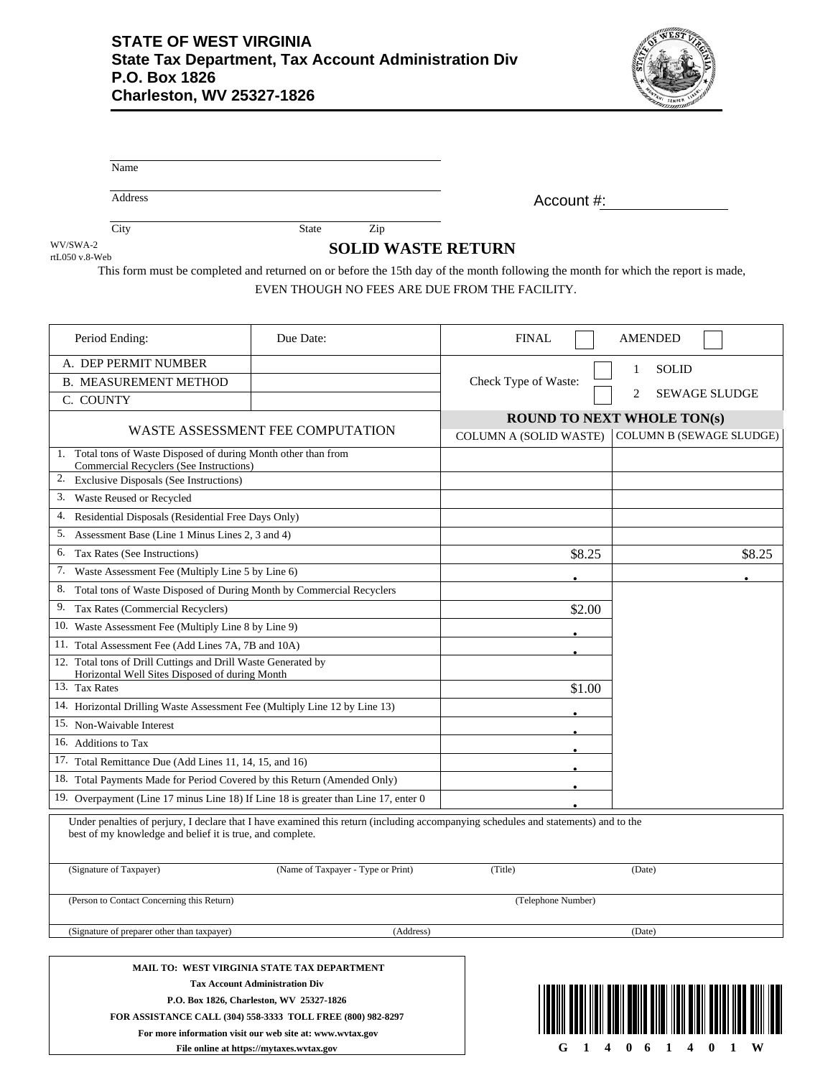Name



**G 1 4 0 6 1 4 0 1 W**

|                                                                                                                                                                 | Address                                                   |                                                                                                                                                                                                                                                              |                      | Account #:                                                                                            |  |                   |                      |  |  |
|-----------------------------------------------------------------------------------------------------------------------------------------------------------------|-----------------------------------------------------------|--------------------------------------------------------------------------------------------------------------------------------------------------------------------------------------------------------------------------------------------------------------|----------------------|-------------------------------------------------------------------------------------------------------|--|-------------------|----------------------|--|--|
|                                                                                                                                                                 |                                                           |                                                                                                                                                                                                                                                              |                      |                                                                                                       |  |                   |                      |  |  |
| WV/SWA-2                                                                                                                                                        | City                                                      | State<br>Zip                                                                                                                                                                                                                                                 |                      |                                                                                                       |  |                   |                      |  |  |
| rtL050 v.8-Web                                                                                                                                                  | <b>SOLID WASTE RETURN</b>                                 |                                                                                                                                                                                                                                                              |                      |                                                                                                       |  |                   |                      |  |  |
|                                                                                                                                                                 |                                                           | This form must be completed and returned on or before the 15th day of the month following the month for which the report is made,<br>EVEN THOUGH NO FEES ARE DUE FROM THE FACILITY.                                                                          |                      |                                                                                                       |  |                   |                      |  |  |
|                                                                                                                                                                 | Period Ending:                                            | Due Date:                                                                                                                                                                                                                                                    | <b>FINAL</b>         |                                                                                                       |  | <b>AMENDED</b>    |                      |  |  |
|                                                                                                                                                                 | A. DEP PERMIT NUMBER                                      |                                                                                                                                                                                                                                                              |                      |                                                                                                       |  | <b>SOLID</b><br>1 |                      |  |  |
|                                                                                                                                                                 | <b>B. MEASUREMENT METHOD</b>                              |                                                                                                                                                                                                                                                              | Check Type of Waste: |                                                                                                       |  |                   |                      |  |  |
| C. COUNTY                                                                                                                                                       |                                                           |                                                                                                                                                                                                                                                              |                      |                                                                                                       |  | 2                 | <b>SEWAGE SLUDGE</b> |  |  |
| WASTE ASSESSMENT FEE COMPUTATION                                                                                                                                |                                                           |                                                                                                                                                                                                                                                              |                      | <b>ROUND TO NEXT WHOLE TON(s)</b><br><b>COLUMN B (SEWAGE SLUDGE)</b><br><b>COLUMN A (SOLID WASTE)</b> |  |                   |                      |  |  |
| 1. Total tons of Waste Disposed of during Month other than from<br><b>Commercial Recyclers (See Instructions)</b><br>2. Exclusive Disposals (See Instructions)  |                                                           |                                                                                                                                                                                                                                                              |                      |                                                                                                       |  |                   |                      |  |  |
| 3.                                                                                                                                                              | Waste Reused or Recycled                                  |                                                                                                                                                                                                                                                              |                      |                                                                                                       |  |                   |                      |  |  |
| 4.                                                                                                                                                              | Residential Disposals (Residential Free Days Only)        |                                                                                                                                                                                                                                                              |                      |                                                                                                       |  |                   |                      |  |  |
| 5.                                                                                                                                                              | Assessment Base (Line 1 Minus Lines 2, 3 and 4)           |                                                                                                                                                                                                                                                              |                      |                                                                                                       |  |                   |                      |  |  |
| 6.<br>Tax Rates (See Instructions)                                                                                                                              |                                                           |                                                                                                                                                                                                                                                              |                      | \$8.25                                                                                                |  |                   | \$8.25               |  |  |
| 7.<br>Waste Assessment Fee (Multiply Line 5 by Line 6)                                                                                                          |                                                           |                                                                                                                                                                                                                                                              |                      |                                                                                                       |  |                   |                      |  |  |
| Total tons of Waste Disposed of During Month by Commercial Recyclers<br>8.                                                                                      |                                                           |                                                                                                                                                                                                                                                              |                      |                                                                                                       |  |                   |                      |  |  |
| 9.<br>Tax Rates (Commercial Recyclers)                                                                                                                          |                                                           |                                                                                                                                                                                                                                                              |                      | \$2.00                                                                                                |  |                   |                      |  |  |
| 10. Waste Assessment Fee (Multiply Line 8 by Line 9)                                                                                                            |                                                           |                                                                                                                                                                                                                                                              |                      |                                                                                                       |  |                   |                      |  |  |
| 11. Total Assessment Fee (Add Lines 7A, 7B and 10A)                                                                                                             |                                                           |                                                                                                                                                                                                                                                              |                      |                                                                                                       |  |                   |                      |  |  |
| 12. Total tons of Drill Cuttings and Drill Waste Generated by<br>Horizontal Well Sites Disposed of during Month                                                 |                                                           |                                                                                                                                                                                                                                                              |                      |                                                                                                       |  |                   |                      |  |  |
| 13. Tax Rates                                                                                                                                                   |                                                           |                                                                                                                                                                                                                                                              |                      | \$1.00                                                                                                |  |                   |                      |  |  |
| 14. Horizontal Drilling Waste Assessment Fee (Multiply Line 12 by Line 13)                                                                                      |                                                           |                                                                                                                                                                                                                                                              |                      |                                                                                                       |  |                   |                      |  |  |
| 15. Non-Waivable Interest                                                                                                                                       |                                                           |                                                                                                                                                                                                                                                              |                      |                                                                                                       |  |                   |                      |  |  |
| 16. Additions to Tax                                                                                                                                            |                                                           |                                                                                                                                                                                                                                                              |                      |                                                                                                       |  |                   |                      |  |  |
| 17. Total Remittance Due (Add Lines 11, 14, 15, and 16)                                                                                                         |                                                           |                                                                                                                                                                                                                                                              |                      |                                                                                                       |  |                   |                      |  |  |
| 18. Total Payments Made for Period Covered by this Return (Amended Only)<br>19. Overpayment (Line 17 minus Line 18) If Line 18 is greater than Line 17, enter 0 |                                                           |                                                                                                                                                                                                                                                              |                      |                                                                                                       |  |                   |                      |  |  |
|                                                                                                                                                                 | best of my knowledge and belief it is true, and complete. | Under penalties of perjury, I declare that I have examined this return (including accompanying schedules and statements) and to the                                                                                                                          |                      |                                                                                                       |  |                   |                      |  |  |
|                                                                                                                                                                 | (Signature of Taxpayer)                                   | (Name of Taxpayer - Type or Print)                                                                                                                                                                                                                           | (Title)              |                                                                                                       |  | (Date)            |                      |  |  |
|                                                                                                                                                                 | (Person to Contact Concerning this Return)                | (Telephone Number)                                                                                                                                                                                                                                           |                      |                                                                                                       |  |                   |                      |  |  |
|                                                                                                                                                                 | (Signature of preparer other than taxpayer)               | (Address)                                                                                                                                                                                                                                                    |                      |                                                                                                       |  | (Date)            |                      |  |  |
|                                                                                                                                                                 |                                                           | MAIL TO: WEST VIRGINIA STATE TAX DEPARTMENT<br><b>Tax Account Administration Div</b><br>P.O. Box 1826, Charleston, WV 25327-1826<br>FOR ASSISTANCE CALL (304) 558-3333 TOLL FREE (800) 982-8297<br>For more information visit our web site at: www.wytax.gov |                      |                                                                                                       |  |                   |                      |  |  |

**For more information visit our web site at: www.wvtax.gov File online at https://mytaxes.wvtax.gov**